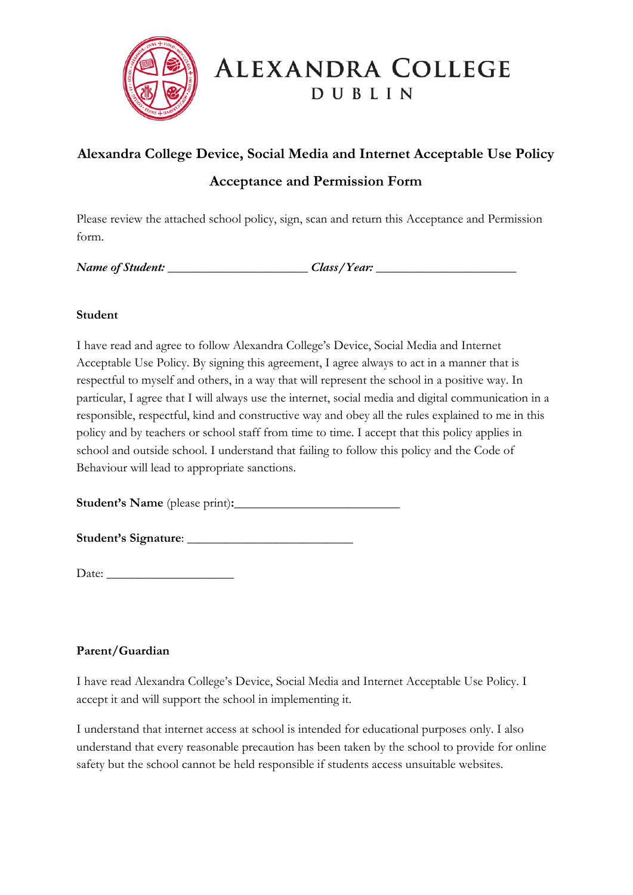

# ALEXANDRA COLLEGE **DUBLIN**

## **Alexandra College Device, Social Media and Internet Acceptable Use Policy**

## **Acceptance and Permission Form**

Please review the attached school policy, sign, scan and return this Acceptance and Permission form.

*Name of Student:* <u>and *Class/Year:* 2008</u>

#### **Student**

I have read and agree to follow Alexandra College's Device, Social Media and Internet Acceptable Use Policy. By signing this agreement, I agree always to act in a manner that is respectful to myself and others, in a way that will represent the school in a positive way. In particular, I agree that I will always use the internet, social media and digital communication in a responsible, respectful, kind and constructive way and obey all the rules explained to me in this policy and by teachers or school staff from time to time. I accept that this policy applies in school and outside school. I understand that failing to follow this policy and the Code of Behaviour will lead to appropriate sanctions.

**Student's Name** (please print)**:**\_\_\_\_\_\_\_\_\_\_\_\_\_\_\_\_\_\_\_\_\_\_\_\_\_\_

**Student's Signature**: \_\_\_\_\_\_\_\_\_\_\_\_\_\_\_\_\_\_\_\_\_\_\_\_\_\_

Date: \_\_\_\_\_\_\_\_\_\_\_\_\_\_\_\_\_\_\_\_

### **Parent/Guardian**

I have read Alexandra College's Device, Social Media and Internet Acceptable Use Policy. I accept it and will support the school in implementing it.

I understand that internet access at school is intended for educational purposes only. I also understand that every reasonable precaution has been taken by the school to provide for online safety but the school cannot be held responsible if students access unsuitable websites.